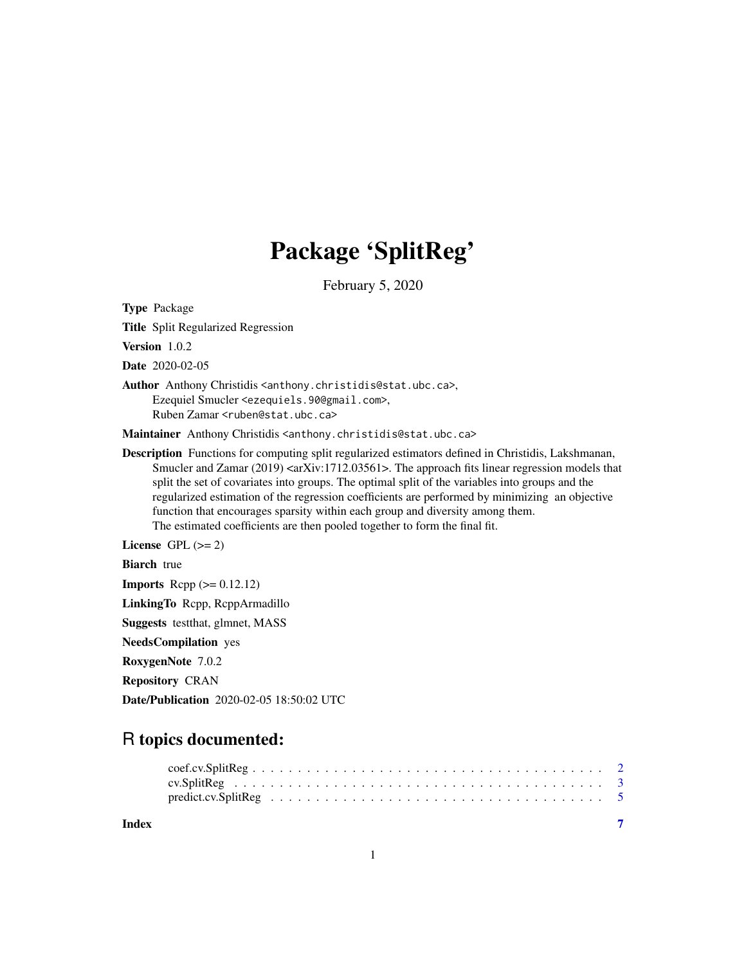## Package 'SplitReg'

February 5, 2020

Type Package Title Split Regularized Regression Version 1.0.2 Date 2020-02-05 Author Anthony Christidis <anthony.christidis@stat.ubc.ca>, Ezequiel Smucler <ezequiels.90@gmail.com>, Ruben Zamar <ruben@stat.ubc.ca> Maintainer Anthony Christidis <anthony.christidis@stat.ubc.ca> Description Functions for computing split regularized estimators defined in Christidis, Lakshmanan, Smucler and Zamar  $(2019)$  <axxiv:1712.03561>. The approach fits linear regression models that split the set of covariates into groups. The optimal split of the variables into groups and the regularized estimation of the regression coefficients are performed by minimizing an objective function that encourages sparsity within each group and diversity among them. The estimated coefficients are then pooled together to form the final fit. License GPL  $(>= 2)$ **Biarch** true **Imports** Rcpp  $(>= 0.12.12)$ LinkingTo Rcpp, RcppArmadillo Suggests testthat, glmnet, MASS NeedsCompilation yes RoxygenNote 7.0.2

Repository CRAN

Date/Publication 2020-02-05 18:50:02 UTC

## R topics documented:

| Index |  |  |  |  |  |  |  |  |  |  |  |  |  |  |  |  |
|-------|--|--|--|--|--|--|--|--|--|--|--|--|--|--|--|--|
|       |  |  |  |  |  |  |  |  |  |  |  |  |  |  |  |  |
|       |  |  |  |  |  |  |  |  |  |  |  |  |  |  |  |  |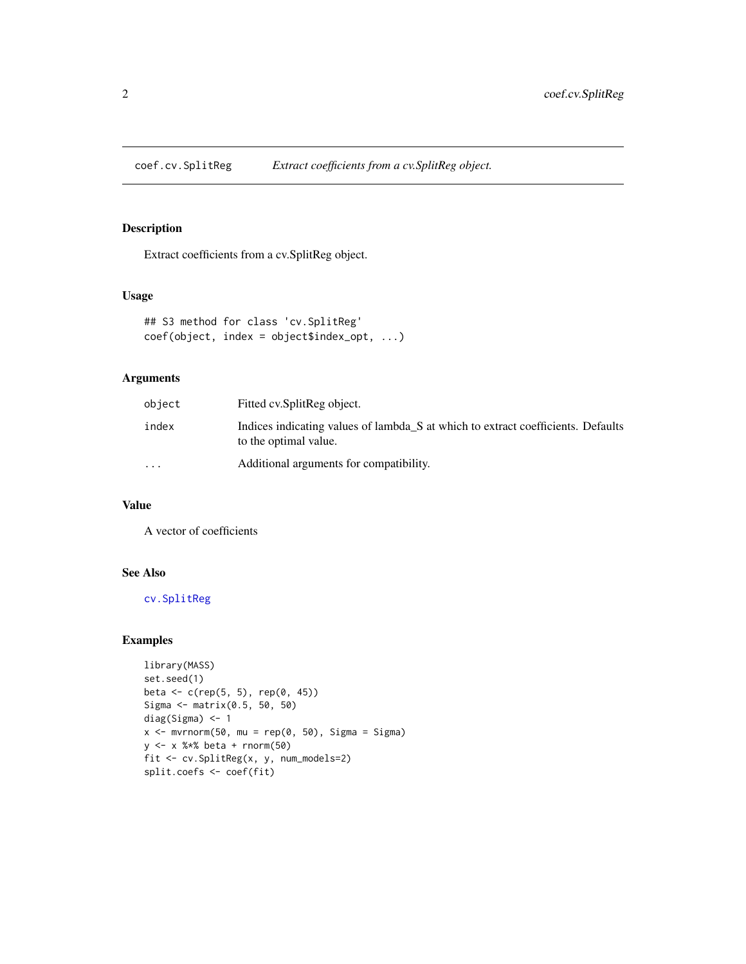<span id="page-1-1"></span><span id="page-1-0"></span>coef.cv.SplitReg *Extract coefficients from a cv.SplitReg object.*

### Description

Extract coefficients from a cv.SplitReg object.

## Usage

```
## S3 method for class 'cv.SplitReg'
coef(object, index = object$index_opt, ...)
```
## Arguments

| object    | Fitted cv. Split Reg object.                                                                              |
|-----------|-----------------------------------------------------------------------------------------------------------|
| index     | Indices indicating values of lambda S at which to extract coefficients. Defaults<br>to the optimal value. |
| $\ddotsc$ | Additional arguments for compatibility.                                                                   |

## Value

A vector of coefficients

## See Also

[cv.SplitReg](#page-2-1)

## Examples

```
library(MASS)
set.seed(1)
beta <- c(rep(5, 5), rep(0, 45))
Sigma <- matrix(0.5, 50, 50)
diag(Sigma) <- 1
x \le - mvrnorm(50, mu = rep(0, 50), Sigma = Sigma)
y <- x %*% beta + rnorm(50)
fit <- cv.SplitReg(x, y, num_models=2)
split.coefs <- coef(fit)
```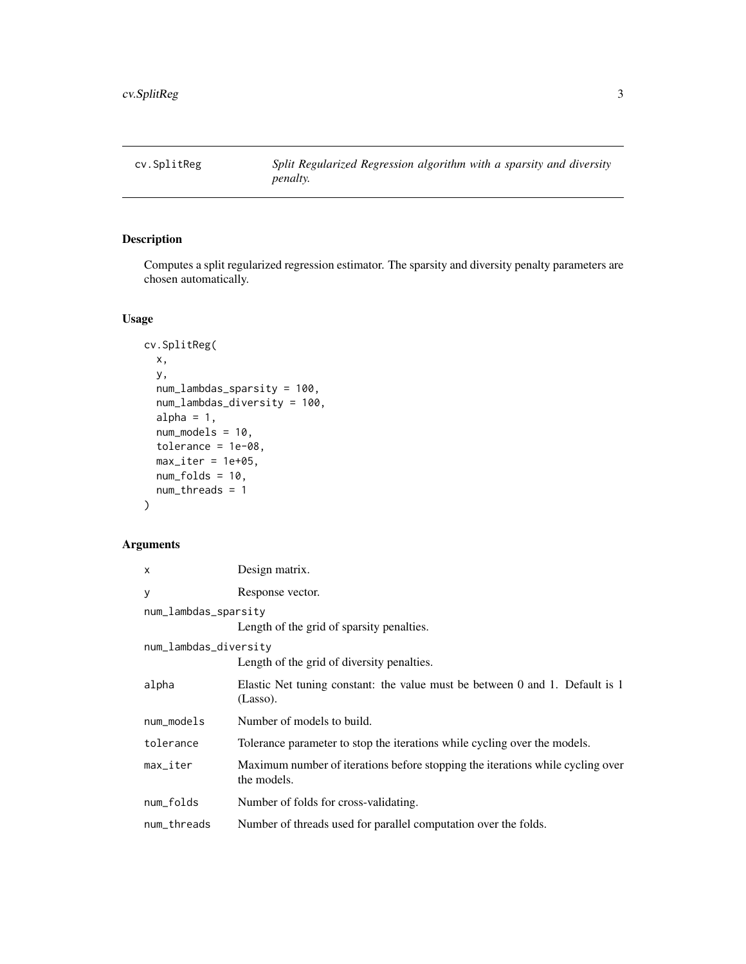<span id="page-2-1"></span><span id="page-2-0"></span>

## Description

Computes a split regularized regression estimator. The sparsity and diversity penalty parameters are chosen automatically.

## Usage

```
cv.SplitReg(
 x,
 y,
  num_lambdas_sparsity = 100,
 num_lambdas_diversity = 100,
 alpha = 1,
 num_models = 10,
  tolerance = 1e-08,
 max\_iter = 1e+05,
 num_folds = 10,
 num_threads = 1
\mathcal{L}
```
## Arguments

| X                      | Design matrix.                                                                                |  |  |  |  |  |  |
|------------------------|-----------------------------------------------------------------------------------------------|--|--|--|--|--|--|
| у                      | Response vector.                                                                              |  |  |  |  |  |  |
| num_lambdas_sparsity   |                                                                                               |  |  |  |  |  |  |
|                        | Length of the grid of sparsity penalties.                                                     |  |  |  |  |  |  |
| num_lambdas_diversity  |                                                                                               |  |  |  |  |  |  |
|                        | Length of the grid of diversity penalties.                                                    |  |  |  |  |  |  |
| alpha                  | Elastic Net tuning constant: the value must be between 0 and 1. Default is 1<br>(Lasso).      |  |  |  |  |  |  |
| num_models             | Number of models to build.                                                                    |  |  |  |  |  |  |
| tolerance              | Tolerance parameter to stop the iterations while cycling over the models.                     |  |  |  |  |  |  |
| $max$ <sub>Liter</sub> | Maximum number of iterations before stopping the iterations while cycling over<br>the models. |  |  |  |  |  |  |
| num_folds              | Number of folds for cross-validating.                                                         |  |  |  |  |  |  |
| num_threads            | Number of threads used for parallel computation over the folds.                               |  |  |  |  |  |  |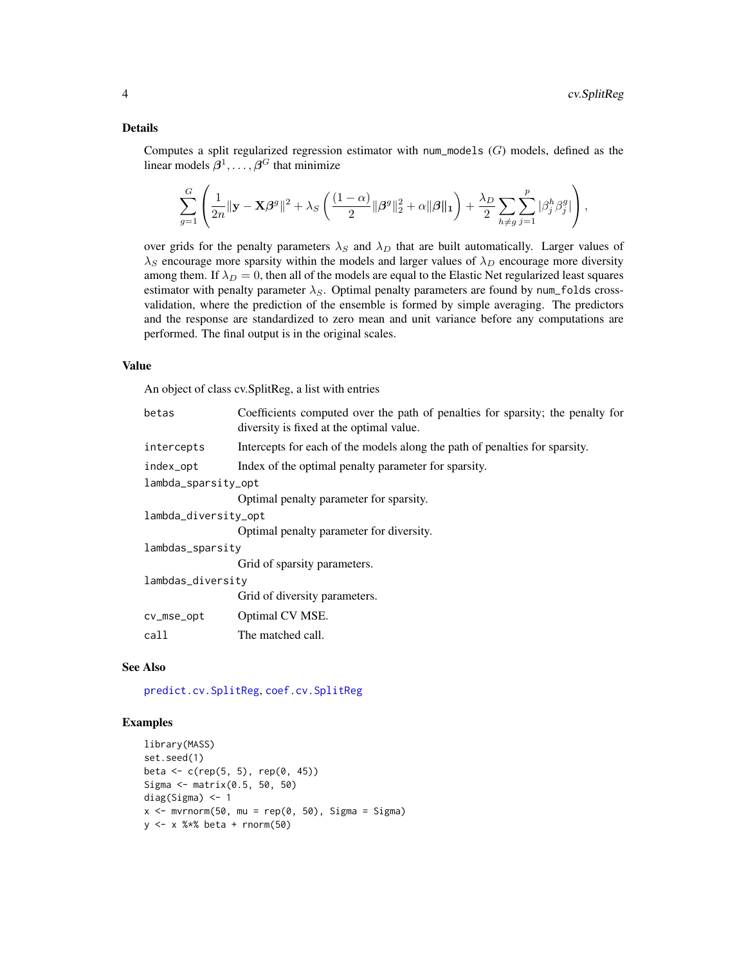## <span id="page-3-0"></span>Details

Computes a split regularized regression estimator with num\_models  $(G)$  models, defined as the linear models  $\beta^1, \ldots, \beta^G$  that minimize

$$
\sum_{g=1}^G \left( \frac{1}{2n} \|\mathbf{y} - \mathbf{X}\boldsymbol{\beta}^g\|^2 + \lambda_S \left( \frac{(1-\alpha)}{2} \|\boldsymbol{\beta}^g\|_2^2 + \alpha \|\boldsymbol{\beta}\|_1 \right) + \frac{\lambda_D}{2} \sum_{h \neq g} \sum_{j=1}^p |\beta_j^h \beta_j^g| \right),
$$

over grids for the penalty parameters  $\lambda_S$  and  $\lambda_D$  that are built automatically. Larger values of  $\lambda_S$  encourage more sparsity within the models and larger values of  $\lambda_D$  encourage more diversity among them. If  $\lambda_D = 0$ , then all of the models are equal to the Elastic Net regularized least squares estimator with penalty parameter  $\lambda_S$ . Optimal penalty parameters are found by num\_folds crossvalidation, where the prediction of the ensemble is formed by simple averaging. The predictors and the response are standardized to zero mean and unit variance before any computations are performed. The final output is in the original scales.

#### Value

An object of class cv.SplitReg, a list with entries

| betas                | Coefficients computed over the path of penalties for sparsity; the penalty for<br>diversity is fixed at the optimal value. |  |  |  |  |  |  |
|----------------------|----------------------------------------------------------------------------------------------------------------------------|--|--|--|--|--|--|
| intercepts           | Intercepts for each of the models along the path of penalties for sparsity.                                                |  |  |  |  |  |  |
| index_opt            | Index of the optimal penalty parameter for sparsity.                                                                       |  |  |  |  |  |  |
| lambda_sparsity_opt  |                                                                                                                            |  |  |  |  |  |  |
|                      | Optimal penalty parameter for sparsity.                                                                                    |  |  |  |  |  |  |
| lambda_diversity_opt |                                                                                                                            |  |  |  |  |  |  |
|                      | Optimal penalty parameter for diversity.                                                                                   |  |  |  |  |  |  |
| lambdas_sparsity     |                                                                                                                            |  |  |  |  |  |  |
|                      | Grid of sparsity parameters.                                                                                               |  |  |  |  |  |  |
| lambdas_diversitv    |                                                                                                                            |  |  |  |  |  |  |
|                      | Grid of diversity parameters.                                                                                              |  |  |  |  |  |  |
| cv_mse_opt           | Optimal CV MSE.                                                                                                            |  |  |  |  |  |  |
| call                 | The matched call.                                                                                                          |  |  |  |  |  |  |

## See Also

[predict.cv.SplitReg](#page-4-1), [coef.cv.SplitReg](#page-1-1)

## Examples

```
library(MASS)
set.seed(1)
beta <- c(rep(5, 5), rep(0, 45))
Sigma <- matrix(0.5, 50, 50)
diag(Sigma) <- 1
x \le - mvrnorm(50, mu = rep(0, 50), Sigma = Sigma)
y <- x %*% beta + rnorm(50)
```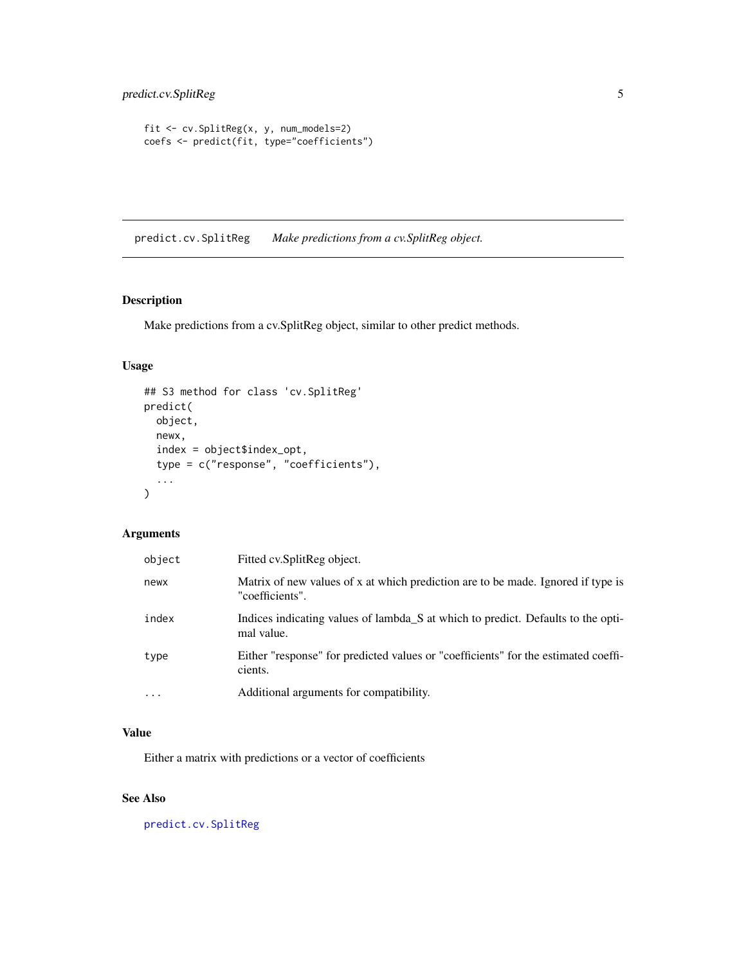```
fit <- cv.SplitReg(x, y, num_models=2)
coefs <- predict(fit, type="coefficients")
```
<span id="page-4-1"></span>predict.cv.SplitReg *Make predictions from a cv.SplitReg object.*

## Description

Make predictions from a cv.SplitReg object, similar to other predict methods.

## Usage

```
## S3 method for class 'cv.SplitReg'
predict(
  object,
  newx,
  index = object$index_opt,
  type = c("response", "coefficients"),
  ...
\mathcal{L}
```
## Arguments

| object    | Fitted cv. SplitReg object.                                                                         |
|-----------|-----------------------------------------------------------------------------------------------------|
| newx      | Matrix of new values of x at which prediction are to be made. Ignored if type is<br>"coefficients". |
| index     | Indices indicating values of lambda_S at which to predict. Defaults to the opti-<br>mal value.      |
| type      | Either "response" for predicted values or "coefficients" for the estimated coeffi-<br>cients.       |
| $\ddotsc$ | Additional arguments for compatibility.                                                             |

## Value

Either a matrix with predictions or a vector of coefficients

## See Also

[predict.cv.SplitReg](#page-4-1)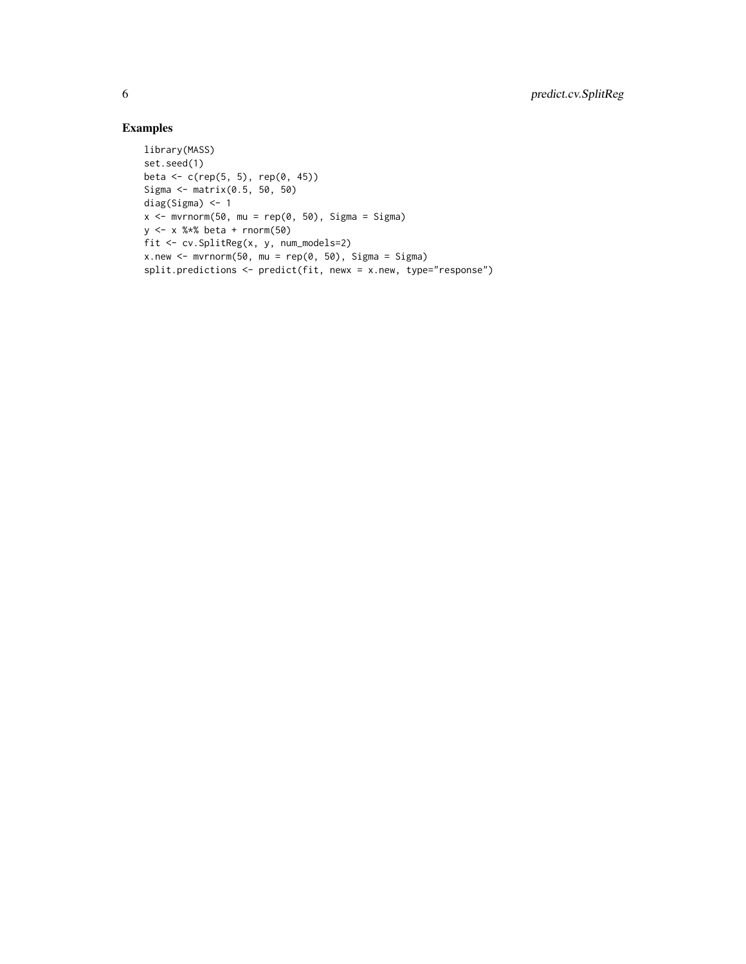## Examples

```
library(MASS)
set.seed(1)
beta <- c(rep(5, 5), rep(0, 45))
Sigma <- matrix(0.5, 50, 50)
diag(Sigma) <- 1
x <- mvrnorm(50, mu = rep(0, 50), Sigma = Sigma)
y <- x %*% beta + rnorm(50)
fit <- cv.SplitReg(x, y, num_models=2)
x.new < -mvrnorm(50, mu = rep(0, 50), Sigma = Signa)split.predictions <- predict(fit, newx = x.new, type="response")
```